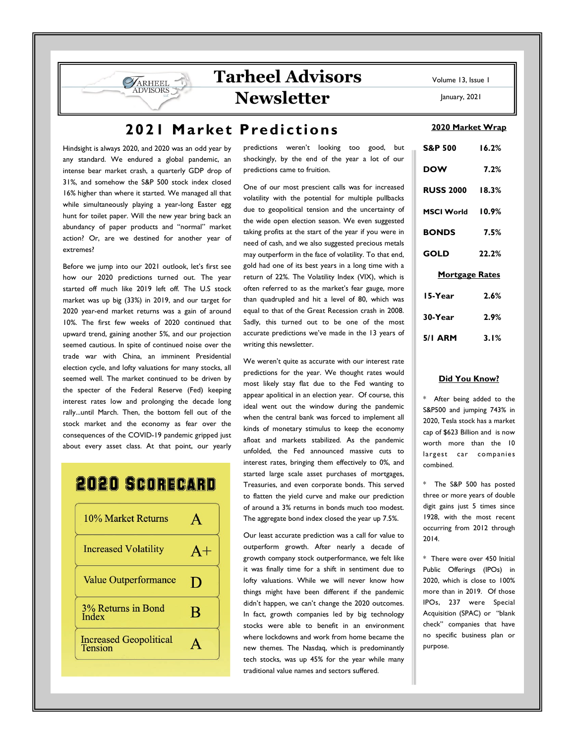## 2021 Market Predictions

Hindsight is always 2020, and 2020 was an odd year by any standard. We endured a global pandemic, an intense bear market crash, a quarterly GDP drop of 31%, and somehow the S&P 500 stock index closed 16% higher than where it started. We managed all that while simultaneously playing a year-long Easter egg hunt for toilet paper. Will the new year bring back an abundancy of paper products and "normal" market action? Or, are we destined for another year of extremes?

**SARHEEL** 

Before we jump into our 2021 outlook, let's first see how our 2020 predictions turned out. The year started off much like 2019 left off. The U.S stock market was up big (33%) in 2019, and our target for 2020 year-end market returns was a gain of around 10%. The first few weeks of 2020 continued that upward trend, gaining another 5%, and our projection seemed cautious. In spite of continued noise over the trade war with China, an imminent Presidential election cycle, and lofty valuations for many stocks, all seemed well. The market continued to be driven by the specter of the Federal Reserve (Fed) keeping interest rates low and prolonging the decade long rally...until March. Then, the bottom fell out of the stock market and the economy as fear over the consequences of the COVID-19 pandemic gripped just about every asset class. At that point, our yearly

# **2020 SCORECARD**



predictions weren't looking too good, but shockingly, by the end of the year a lot of our predictions came to fruition.

One of our most prescient calls was for increased volatility with the potential for multiple pullbacks due to geopolitical tension and the uncertainty of the wide open election season. We even suggested taking profits at the start of the year if you were in need of cash, and we also suggested precious metals may outperform in the face of volatility. To that end, gold had one of its best years in a long time with a return of 22%. The Volatility Index (VIX), which is often referred to as the market's fear gauge, more than quadrupled and hit a level of 80, which was equal to that of the Great Recession crash in 2008. Sadly, this turned out to be one of the most accurate predictions we've made in the 13 years of writing this newsletter.

We weren't quite as accurate with our interest rate predictions for the year. We thought rates would most likely stay flat due to the Fed wanting to appear apolitical in an election year. Of course, this ideal went out the window during the pandemic when the central bank was forced to implement all kinds of monetary stimulus to keep the economy afloat and markets stabilized. As the pandemic unfolded, the Fed announced massive cuts to interest rates, bringing them effectively to 0%, and started large scale asset purchases of mortgages, Treasuries, and even corporate bonds. This served to flatten the yield curve and make our prediction of around a 3% returns in bonds much too modest. The aggregate bond index closed the year up 7.5%.

Our least accurate prediction was a call for value to outperform growth. After nearly a decade of growth company stock outperformance, we felt like it was finally time for a shift in sentiment due to lofty valuations. While we will never know how things might have been different if the pandemic didn't happen, we can't change the 2020 outcomes. In fact, growth companies led by big technology stocks were able to benefit in an environment where lockdowns and work from home became the new themes. The Nasdaq, which is predominantly tech stocks, was up 45% for the year while many traditional value names and sectors suffered.

Volume 13, Issue 1

January, 2021

#### 2020 Market Wrap

| <b>S&amp;P 500</b>     | 16.2% |
|------------------------|-------|
| <b>DOW</b>             | 7.2%  |
| <b>RUSS 2000 18.3%</b> |       |
| MSCI World 10.9%       |       |
| <b>BONDS</b>           | 7.5%  |
| GOLD                   | 22.2% |
| <b>Mortgage Rates</b>  |       |
| 15-Year                | 2.6%  |
| 30-Year                | 2.9%  |
| 5/1 ARM 3.1%           |       |

### Did You Know?

\* After being added to the S&P500 and jumping 743% in 2020, Tesla stock has a market cap of \$623 Billion and is now worth more than the 10 largest car companies combined.

\* The S&P 500 has posted three or more years of double digit gains just 5 times since 1928, with the most recent occurring from 2012 through 2014.

\* There were over 450 Initial Public Offerings (IPOs) in 2020, which is close to 100% more than in 2019. Of those IPOs, 237 were Special Acquisition (SPAC) or "blank check" companies that have no specific business plan or purpose.